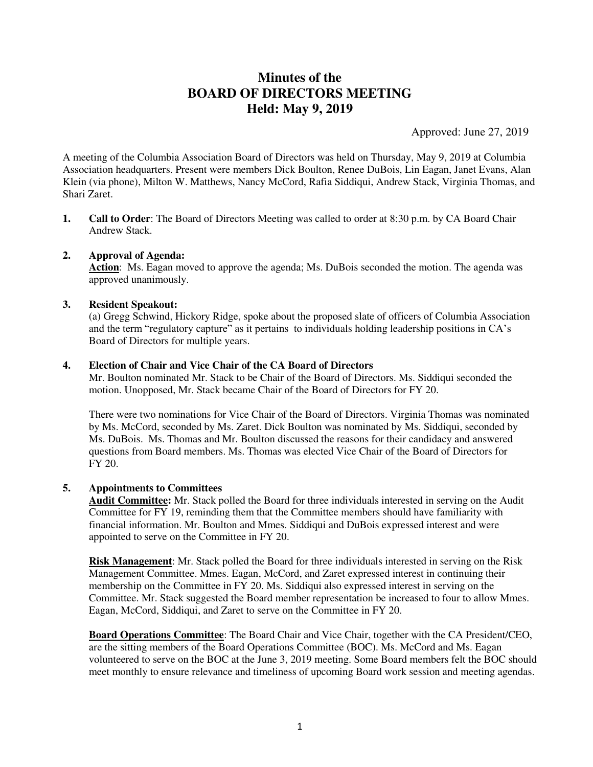# **Minutes of the BOARD OF DIRECTORS MEETING Held: May 9, 2019**

Approved: June 27, 2019

A meeting of the Columbia Association Board of Directors was held on Thursday, May 9, 2019 at Columbia Association headquarters. Present were members Dick Boulton, Renee DuBois, Lin Eagan, Janet Evans, Alan Klein (via phone), Milton W. Matthews, Nancy McCord, Rafia Siddiqui, Andrew Stack, Virginia Thomas, and Shari Zaret.

**1. Call to Order**: The Board of Directors Meeting was called to order at 8:30 p.m. by CA Board Chair Andrew Stack.

## **2. Approval of Agenda:**

**Action**: Ms. Eagan moved to approve the agenda; Ms. DuBois seconded the motion. The agenda was approved unanimously.

## **3. Resident Speakout:**

(a) Gregg Schwind, Hickory Ridge, spoke about the proposed slate of officers of Columbia Association and the term "regulatory capture" as it pertains to individuals holding leadership positions in CA's Board of Directors for multiple years.

## **4. Election of Chair and Vice Chair of the CA Board of Directors**

 Mr. Boulton nominated Mr. Stack to be Chair of the Board of Directors. Ms. Siddiqui seconded the motion. Unopposed, Mr. Stack became Chair of the Board of Directors for FY 20.

 There were two nominations for Vice Chair of the Board of Directors. Virginia Thomas was nominated by Ms. McCord, seconded by Ms. Zaret. Dick Boulton was nominated by Ms. Siddiqui, seconded by Ms. DuBois. Ms. Thomas and Mr. Boulton discussed the reasons for their candidacy and answered questions from Board members. Ms. Thomas was elected Vice Chair of the Board of Directors for FY 20.

## **5. Appointments to Committees**

**Audit Committee:** Mr. Stack polled the Board for three individuals interested in serving on the Audit Committee for FY 19, reminding them that the Committee members should have familiarity with financial information. Mr. Boulton and Mmes. Siddiqui and DuBois expressed interest and were appointed to serve on the Committee in FY 20.

 **Risk Management**: Mr. Stack polled the Board for three individuals interested in serving on the Risk Management Committee. Mmes. Eagan, McCord, and Zaret expressed interest in continuing their membership on the Committee in FY 20. Ms. Siddiqui also expressed interest in serving on the Committee. Mr. Stack suggested the Board member representation be increased to four to allow Mmes. Eagan, McCord, Siddiqui, and Zaret to serve on the Committee in FY 20.

**Board Operations Committee**: The Board Chair and Vice Chair, together with the CA President/CEO, are the sitting members of the Board Operations Committee (BOC). Ms. McCord and Ms. Eagan volunteered to serve on the BOC at the June 3, 2019 meeting. Some Board members felt the BOC should meet monthly to ensure relevance and timeliness of upcoming Board work session and meeting agendas.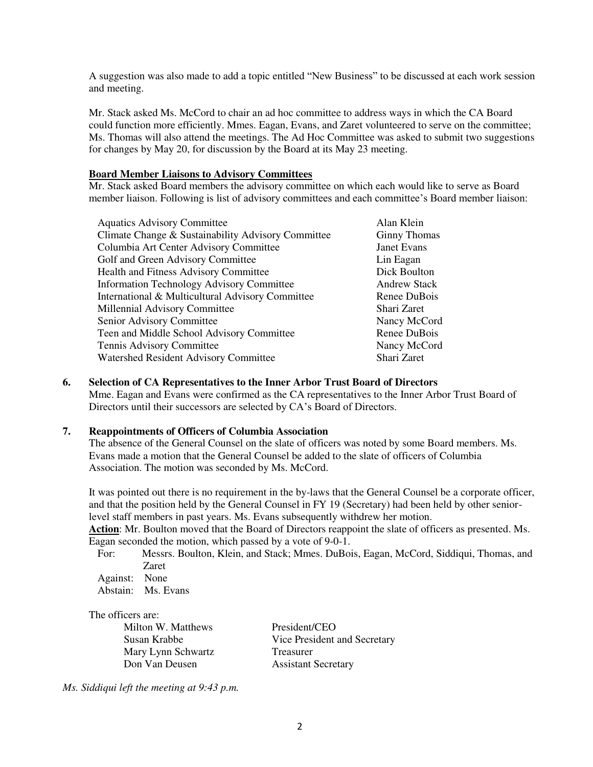A suggestion was also made to add a topic entitled "New Business" to be discussed at each work session and meeting.

Mr. Stack asked Ms. McCord to chair an ad hoc committee to address ways in which the CA Board could function more efficiently. Mmes. Eagan, Evans, and Zaret volunteered to serve on the committee; Ms. Thomas will also attend the meetings. The Ad Hoc Committee was asked to submit two suggestions for changes by May 20, for discussion by the Board at its May 23 meeting.

#### **Board Member Liaisons to Advisory Committees**

Mr. Stack asked Board members the advisory committee on which each would like to serve as Board member liaison. Following is list of advisory committees and each committee's Board member liaison:

| <b>Aquatics Advisory Committee</b>                 | Alan Klein          |
|----------------------------------------------------|---------------------|
| Climate Change & Sustainability Advisory Committee | <b>Ginny Thomas</b> |
| Columbia Art Center Advisory Committee             | <b>Janet Evans</b>  |
| Golf and Green Advisory Committee                  | Lin Eagan           |
| <b>Health and Fitness Advisory Committee</b>       | Dick Boulton        |
| <b>Information Technology Advisory Committee</b>   | <b>Andrew Stack</b> |
| International & Multicultural Advisory Committee   | Renee DuBois        |
| Millennial Advisory Committee                      | Shari Zaret         |
| Senior Advisory Committee                          | Nancy McCord        |
| Teen and Middle School Advisory Committee          | Renee DuBois        |
| Tennis Advisory Committee                          | Nancy McCord        |
| Watershed Resident Advisory Committee              | Shari Zaret         |

#### **6. Selection of CA Representatives to the Inner Arbor Trust Board of Directors**

 Mme. Eagan and Evans were confirmed as the CA representatives to the Inner Arbor Trust Board of Directors until their successors are selected by CA's Board of Directors.

## **7. Reappointments of Officers of Columbia Association**

The absence of the General Counsel on the slate of officers was noted by some Board members. Ms. Evans made a motion that the General Counsel be added to the slate of officers of Columbia Association. The motion was seconded by Ms. McCord.

It was pointed out there is no requirement in the by-laws that the General Counsel be a corporate officer, and that the position held by the General Counsel in FY 19 (Secretary) had been held by other seniorlevel staff members in past years. Ms. Evans subsequently withdrew her motion.

**Action**: Mr. Boulton moved that the Board of Directors reappoint the slate of officers as presented. Ms. Eagan seconded the motion, which passed by a vote of 9-0-1.

 For: Messrs. Boulton, Klein, and Stack; Mmes. DuBois, Eagan, McCord, Siddiqui, Thomas, and Zaret

 Against: None Abstain: Ms. Evans

### The officers are:

Milton W. Matthews President/CEO Mary Lynn Schwartz Treasurer Don Van Deusen Assistant Secretary

Susan Krabbe Vice President and Secretary

*Ms. Siddiqui left the meeting at 9:43 p.m.*